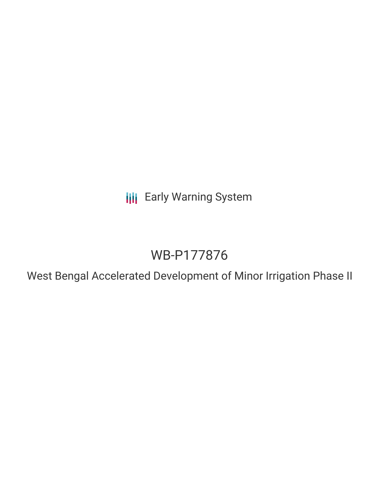**III** Early Warning System

# WB-P177876

West Bengal Accelerated Development of Minor Irrigation Phase II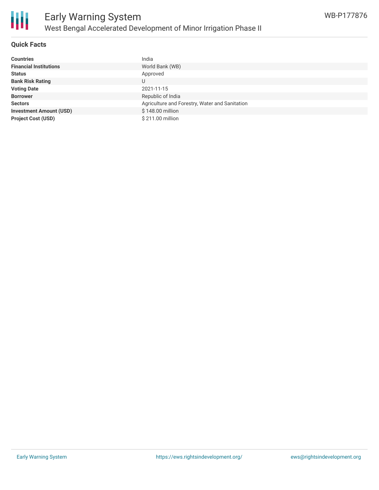

# **Quick Facts**

| <b>Countries</b>               | India                                          |
|--------------------------------|------------------------------------------------|
| <b>Financial Institutions</b>  | World Bank (WB)                                |
| <b>Status</b>                  | Approved                                       |
| <b>Bank Risk Rating</b>        |                                                |
| <b>Voting Date</b>             | 2021-11-15                                     |
| <b>Borrower</b>                | Republic of India                              |
| <b>Sectors</b>                 | Agriculture and Forestry, Water and Sanitation |
| <b>Investment Amount (USD)</b> | \$148.00 million                               |
| <b>Project Cost (USD)</b>      | \$211.00 million                               |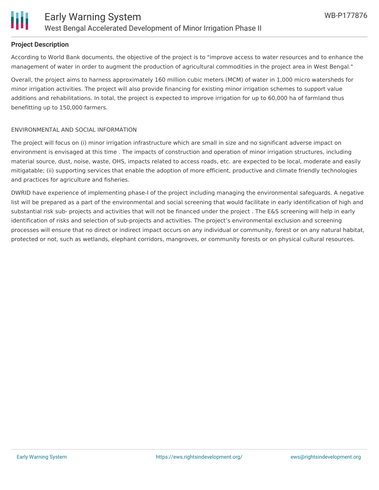

## **Project Description**

According to World Bank documents, the objective of the project is to "improve access to water resources and to enhance the management of water in order to augment the production of agricultural commodities in the project area in West Bengal."

Overall, the project aims to harness approximately 160 million cubic meters (MCM) of water in 1,000 micro watersheds for minor irrigation activities. The project will also provide financing for existing minor irrigation schemes to support value additions and rehabilitations. In total, the project is expected to improve irrigation for up to 60,000 ha of farmland thus benefitting up to 150,000 farmers.

## ENVIRONMENTAL AND SOCIAL INFORMATION

The project will focus on (i) minor irrigation infrastructure which are small in size and no significant adverse impact on environment is envisaged at this time . The impacts of construction and operation of minor irrigation structures, including material source, dust, noise, waste, OHS, impacts related to access roads, etc. are expected to be local, moderate and easily mitigatable; (ii) supporting services that enable the adoption of more efficient, productive and climate friendly technologies and practices for agriculture and fisheries.

DWRID have experience of implementing phase-I of the project including managing the environmental safeguards. A negative list will be prepared as a part of the environmental and social screening that would facilitate in early identification of high and substantial risk sub- projects and activities that will not be financed under the project . The E&S screening will help in early identification of risks and selection of sub-projects and activities. The project's environmental exclusion and screening processes will ensure that no direct or indirect impact occurs on any individual or community, forest or on any natural habitat, protected or not, such as wetlands, elephant corridors, mangroves, or community forests or on physical cultural resources.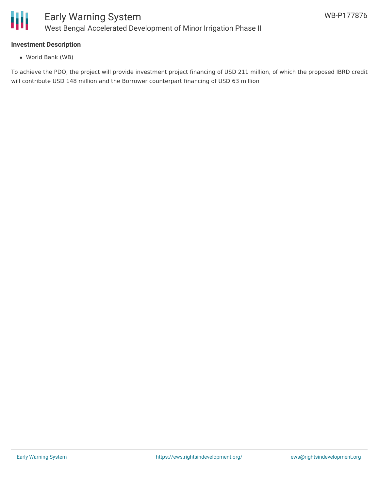

# **Investment Description**

World Bank (WB)

To achieve the PDO, the project will provide investment project financing of USD 211 million, of which the proposed IBRD credit will contribute USD 148 million and the Borrower counterpart financing of USD 63 million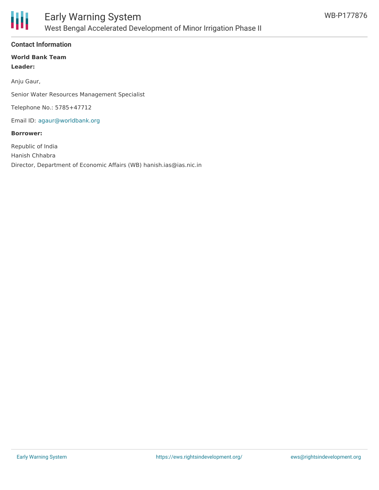

# **Contact Information**

## **World Bank Team Leader:**

Anju Gaur,

Senior Water Resources Management Specialist

Telephone No.: 5785+47712

Email ID: [agaur@worldbank.org](mailto:agaur@worldbank.org)

#### **Borrower:**

Republic of India Hanish Chhabra Director, Department of Economic Affairs (WB) hanish.ias@ias.nic.in